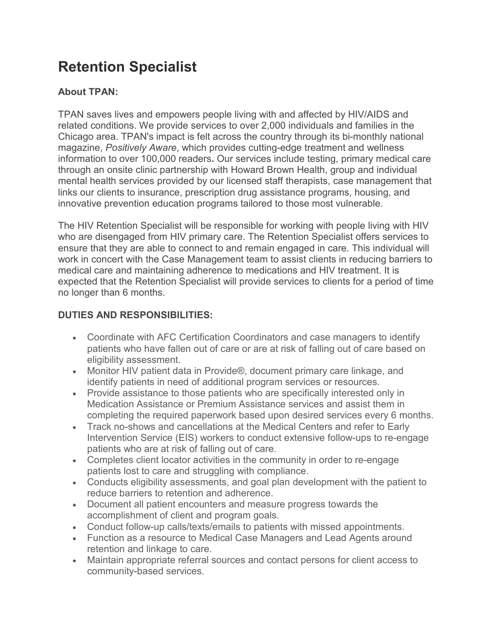## **Retention Specialist**

## **About TPAN:**

TPAN saves lives and empowers people living with and affected by HIV/AIDS and related conditions. We provide services to over 2,000 individuals and families in the Chicago area. TPAN's impact is felt across the country through its bi-monthly national magazine, *Positively Aware*, which provides cutting-edge treatment and wellness information to over 100,000 readers**.** Our services include testing, primary medical care through an onsite clinic partnership with Howard Brown Health, group and individual mental health services provided by our licensed staff therapists, case management that links our clients to insurance, prescription drug assistance programs, housing, and innovative prevention education programs tailored to those most vulnerable.

The HIV Retention Specialist will be responsible for working with people living with HIV who are disengaged from HIV primary care. The Retention Specialist offers services to ensure that they are able to connect to and remain engaged in care. This individual will work in concert with the Case Management team to assist clients in reducing barriers to medical care and maintaining adherence to medications and HIV treatment. It is expected that the Retention Specialist will provide services to clients for a period of time no longer than 6 months.

## **DUTIES AND RESPONSIBILITIES:**

- Coordinate with AFC Certification Coordinators and case managers to identify patients who have fallen out of care or are at risk of falling out of care based on eligibility assessment.
- Monitor HIV patient data in Provide®, document primary care linkage, and identify patients in need of additional program services or resources.
- Provide assistance to those patients who are specifically interested only in Medication Assistance or Premium Assistance services and assist them in completing the required paperwork based upon desired services every 6 months.
- Track no-shows and cancellations at the Medical Centers and refer to Early Intervention Service (EIS) workers to conduct extensive follow-ups to re-engage patients who are at risk of falling out of care.
- Completes client locator activities in the community in order to re-engage patients lost to care and struggling with compliance.
- Conducts eligibility assessments, and goal plan development with the patient to reduce barriers to retention and adherence.
- Document all patient encounters and measure progress towards the accomplishment of client and program goals.
- Conduct follow-up calls/texts/emails to patients with missed appointments.
- Function as a resource to Medical Case Managers and Lead Agents around retention and linkage to care.
- Maintain appropriate referral sources and contact persons for client access to community-based services.